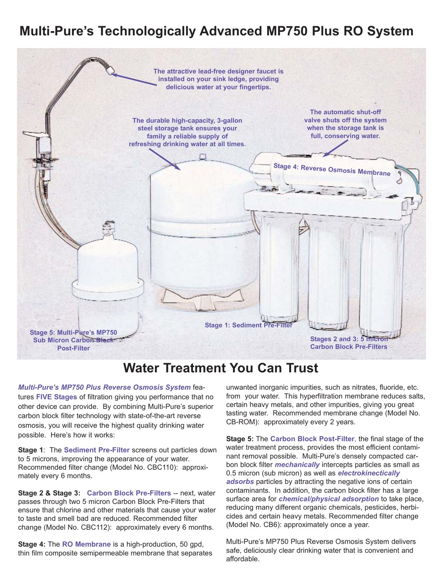## **Multi-Pure's Technologically Advanced MP750 Plus RO System**



## **Water Treatment You Can Trust**

*Multi-Pure's MP750 Plus Reverse Osmosis System* features **FIVE Stages** of filtration giving you performance that no other device can provide. By combining Multi-Pure's superior carbon block filter technology with state-of-the-art reverse osmosis, you will receive the highest quality drinking water possible. Here's how it works:

**Stage 1**: The **Sediment Pre-Filter** screens out particles down to 5 microns, improving the appearance of your water. Recommended filter change (Model No. CBC110): approximately every 6 months.

**Stage 2 & Stage 3: Carbon Block Pre-Filters** -- next, water passes through two 5 micron Carbon Block Pre-Filters that ensure that chlorine and other materials that cause your water to taste and smell bad are reduced. Recommended filter change (Model No. CBC112): approximately every 6 months.

**Stage 4:** The **RO Membrane** is a high-production, 50 gpd, thin film composite semipermeable membrane that separates unwanted inorganic impurities, such as nitrates, fluoride, etc. from your water. This hyperfiltration membrane reduces salts, certain heavy metals, and other impurities, giving you great tasting water. Recommended membrane change (Model No. CB-ROM): approximately every 2 years.

**Stage 5:** The **Carbon Block Post-Filter**, the final stage of the water treatment process, provides the most efficient contaminant removal possible. Multi-Pure's densely compacted carbon block filter *mechanically* intercepts particles as small as 0.5 micron (sub micron) as well as *electrokinectically adsorbs* particles by attracting the negative ions of certain contaminants. In addition, the carbon block filter has a large surface area for *chemical/physical adsorption* to take place, reducing many different organic chemicals, pesticides, herbicides and certain heavy metals. Recommended filter change (Model No. CB6): approximately once a year.

Multi-Pure's MP750 Plus Reverse Osmosis System delivers safe, deliciously clear drinking water that is convenient and affordable.